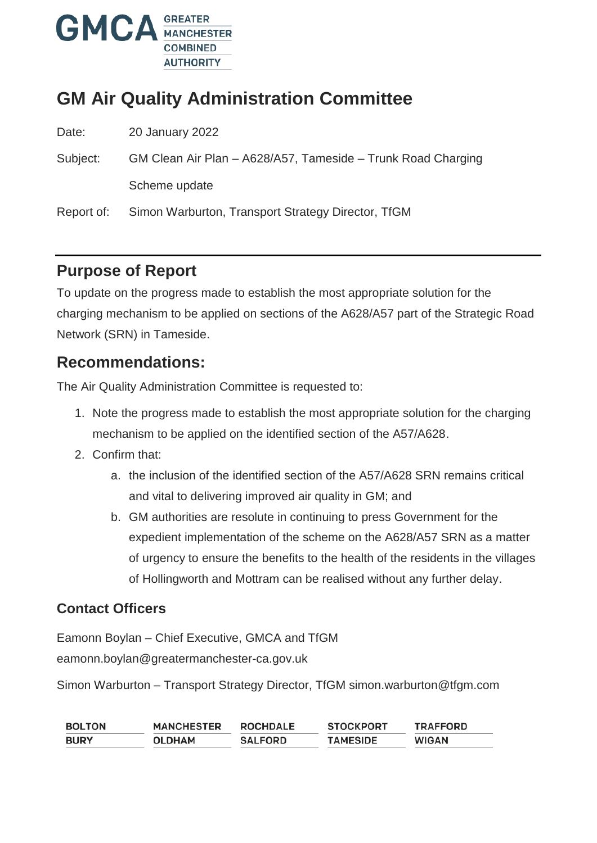

# **GM Air Quality Administration Committee**

Date: 20 January 2022

Subject: GM Clean Air Plan – A628/A57, Tameside – Trunk Road Charging Scheme update

Report of: Simon Warburton, Transport Strategy Director, TfGM

## **Purpose of Report**

To update on the progress made to establish the most appropriate solution for the charging mechanism to be applied on sections of the A628/A57 part of the Strategic Road Network (SRN) in Tameside.

### **Recommendations:**

The Air Quality Administration Committee is requested to:

- 1. Note the progress made to establish the most appropriate solution for the charging mechanism to be applied on the identified section of the A57/A628.
- 2. Confirm that:
	- a. the inclusion of the identified section of the A57/A628 SRN remains critical and vital to delivering improved air quality in GM; and
	- b. GM authorities are resolute in continuing to press Government for the expedient implementation of the scheme on the A628/A57 SRN as a matter of urgency to ensure the benefits to the health of the residents in the villages of Hollingworth and Mottram can be realised without any further delay.

#### **Contact Officers**

Eamonn Boylan – Chief Executive, GMCA and TfGM eamonn.boylan@greatermanchester-ca.gov.uk

Simon Warburton – Transport Strategy Director, TfGM simon.warburton@tfgm.com

| <b>BOLTON</b> | <b>MANCHESTER</b> | <b>ROCHDALE</b> | <b>STOCKPORT</b> | <b>TRAFFORD</b> |
|---------------|-------------------|-----------------|------------------|-----------------|
| <b>BURY</b>   | <b>OLDHAM</b>     | <b>SALFORD</b>  | <b>TAMESIDE</b>  | <b>WIGAN</b>    |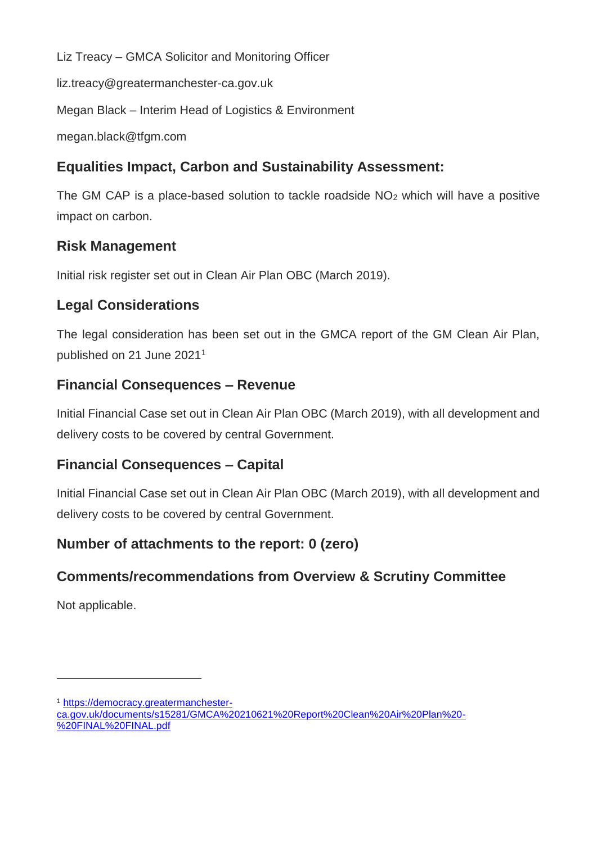Liz Treacy – GMCA Solicitor and Monitoring Officer

liz.treacy@greatermanchester-ca.gov.uk

Megan Black – Interim Head of Logistics & Environment

megan.black@tfgm.com

### **Equalities Impact, Carbon and Sustainability Assessment:**

The GM CAP is a place-based solution to tackle roadside  $NO<sub>2</sub>$  which will have a positive impact on carbon.

### **Risk Management**

Initial risk register set out in Clean Air Plan OBC (March 2019).

### **Legal Considerations**

The legal consideration has been set out in the GMCA report of the GM Clean Air Plan, published on 21 June 2021<sup>1</sup>

### **Financial Consequences – Revenue**

Initial Financial Case set out in Clean Air Plan OBC (March 2019), with all development and delivery costs to be covered by central Government.

### **Financial Consequences – Capital**

Initial Financial Case set out in Clean Air Plan OBC (March 2019), with all development and delivery costs to be covered by central Government.

### **Number of attachments to the report: 0 (zero)**

## **Comments/recommendations from Overview & Scrutiny Committee**

Not applicable.

 $\overline{a}$ 

<sup>1</sup> [https://democracy.greatermanchester-](https://democracy.greatermanchester-ca.gov.uk/documents/s15281/GMCA%20210621%20Report%20Clean%20Air%20Plan%20-%20FINAL%20FINAL.pdf)

[ca.gov.uk/documents/s15281/GMCA%20210621%20Report%20Clean%20Air%20Plan%20-](https://democracy.greatermanchester-ca.gov.uk/documents/s15281/GMCA%20210621%20Report%20Clean%20Air%20Plan%20-%20FINAL%20FINAL.pdf) [%20FINAL%20FINAL.pdf](https://democracy.greatermanchester-ca.gov.uk/documents/s15281/GMCA%20210621%20Report%20Clean%20Air%20Plan%20-%20FINAL%20FINAL.pdf)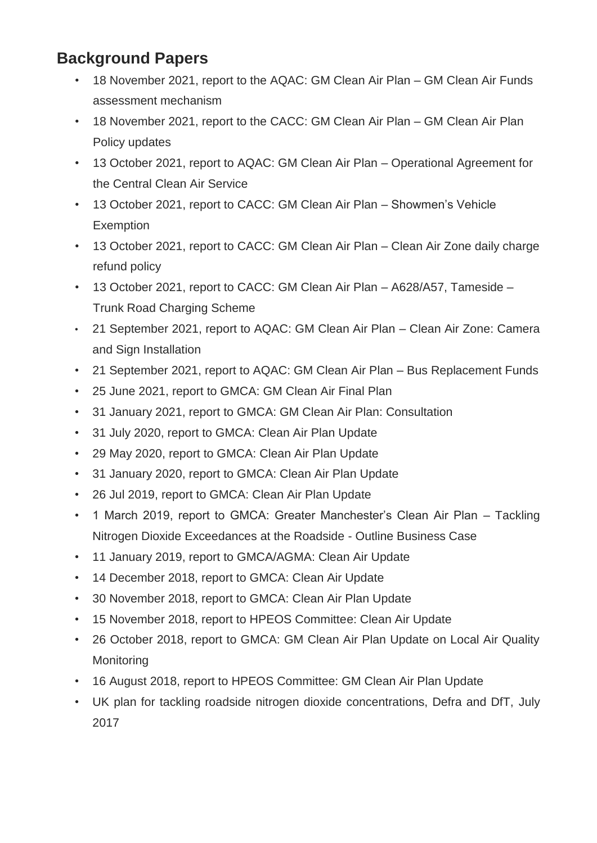## **Background Papers**

- 18 November 2021, report to the AQAC: GM Clean Air Plan GM Clean Air Funds assessment mechanism
- 18 November 2021, report to the CACC: GM Clean Air Plan GM Clean Air Plan Policy updates
- 13 October 2021, report to AQAC: GM Clean Air Plan Operational Agreement for the Central Clean Air Service
- 13 October 2021, report to CACC: GM Clean Air Plan Showmen's Vehicle Exemption
- 13 October 2021, report to CACC: GM Clean Air Plan Clean Air Zone daily charge refund policy
- 13 October 2021, report to CACC: GM Clean Air Plan A628/A57, Tameside Trunk Road Charging Scheme
- 21 September 2021, report to AQAC: GM Clean Air Plan Clean Air Zone: Camera and Sign Installation
- 21 September 2021, report to AQAC: GM Clean Air Plan Bus Replacement Funds
- 25 June 2021, report to GMCA: GM Clean Air Final Plan
- 31 January 2021, report to GMCA: GM Clean Air Plan: Consultation
- 31 July 2020, report to GMCA: Clean Air Plan Update
- 29 May 2020, report to GMCA: Clean Air Plan Update
- 31 January 2020, report to GMCA: Clean Air Plan Update
- 26 Jul 2019, report to GMCA: Clean Air Plan Update
- 1 March 2019, report to GMCA: Greater Manchester's Clean Air Plan Tackling Nitrogen Dioxide Exceedances at the Roadside - Outline Business Case
- 11 January 2019, report to GMCA/AGMA: Clean Air Update
- 14 December 2018, report to GMCA: Clean Air Update
- 30 November 2018, report to GMCA: Clean Air Plan Update
- 15 November 2018, report to HPEOS Committee: Clean Air Update
- 26 October 2018, report to GMCA: GM Clean Air Plan Update on Local Air Quality **Monitoring**
- 16 August 2018, report to HPEOS Committee: GM Clean Air Plan Update
- UK plan for tackling roadside nitrogen dioxide concentrations, Defra and DfT, July 2017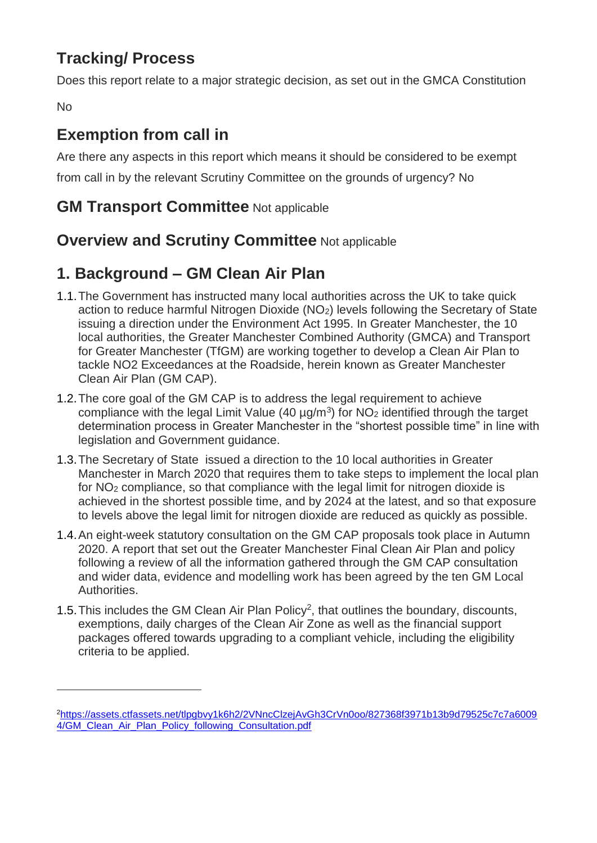# **Tracking/ Process**

Does this report relate to a major strategic decision, as set out in the GMCA Constitution

No

 $\overline{a}$ 

# **Exemption from call in**

Are there any aspects in this report which means it should be considered to be exempt from call in by the relevant Scrutiny Committee on the grounds of urgency? No

## **GM Transport Committee** Not applicable

## **Overview and Scrutiny Committee** Not applicable

# **1. Background – GM Clean Air Plan**

- 1.1.The Government has instructed many local authorities across the UK to take quick action to reduce harmful Nitrogen Dioxide (NO<sub>2</sub>) levels following the Secretary of State issuing a direction under the Environment Act 1995. In Greater Manchester, the 10 local authorities, the Greater Manchester Combined Authority (GMCA) and Transport for Greater Manchester (TfGM) are working together to develop a Clean Air Plan to tackle NO2 Exceedances at the Roadside, herein known as Greater Manchester Clean Air Plan (GM CAP).
- 1.2.The core goal of the GM CAP is to address the legal requirement to achieve compliance with the legal Limit Value (40  $\mu$ g/m<sup>3</sup>) for NO<sub>2</sub> identified through the target determination process in Greater Manchester in the "shortest possible time" in line with legislation and Government guidance.
- 1.3.The Secretary of State issued a direction to the 10 local authorities in Greater Manchester in March 2020 that requires them to take steps to implement the local plan for NO<sup>2</sup> compliance, so that compliance with the legal limit for nitrogen dioxide is achieved in the shortest possible time, and by 2024 at the latest, and so that exposure to levels above the legal limit for nitrogen dioxide are reduced as quickly as possible.
- 1.4.An eight-week statutory consultation on the GM CAP proposals took place in Autumn 2020. A report that set out the Greater Manchester Final Clean Air Plan and policy following a review of all the information gathered through the GM CAP consultation and wider data, evidence and modelling work has been agreed by the ten GM Local Authorities.
- 1.5. This includes the GM Clean Air Plan Policy<sup>2</sup>, that outlines the boundary, discounts, exemptions, daily charges of the Clean Air Zone as well as the financial support packages offered towards upgrading to a compliant vehicle, including the eligibility criteria to be applied.

<sup>2</sup>[https://assets.ctfassets.net/tlpgbvy1k6h2/2VNncClzejAvGh3CrVn0oo/827368f3971b13b9d79525c7c7a6009](https://assets.ctfassets.net/tlpgbvy1k6h2/2VNncClzejAvGh3CrVn0oo/827368f3971b13b9d79525c7c7a60094/GM_Clean_Air_Plan_Policy_following_Consultation.pdf) [4/GM\\_Clean\\_Air\\_Plan\\_Policy\\_following\\_Consultation.pdf](https://assets.ctfassets.net/tlpgbvy1k6h2/2VNncClzejAvGh3CrVn0oo/827368f3971b13b9d79525c7c7a60094/GM_Clean_Air_Plan_Policy_following_Consultation.pdf)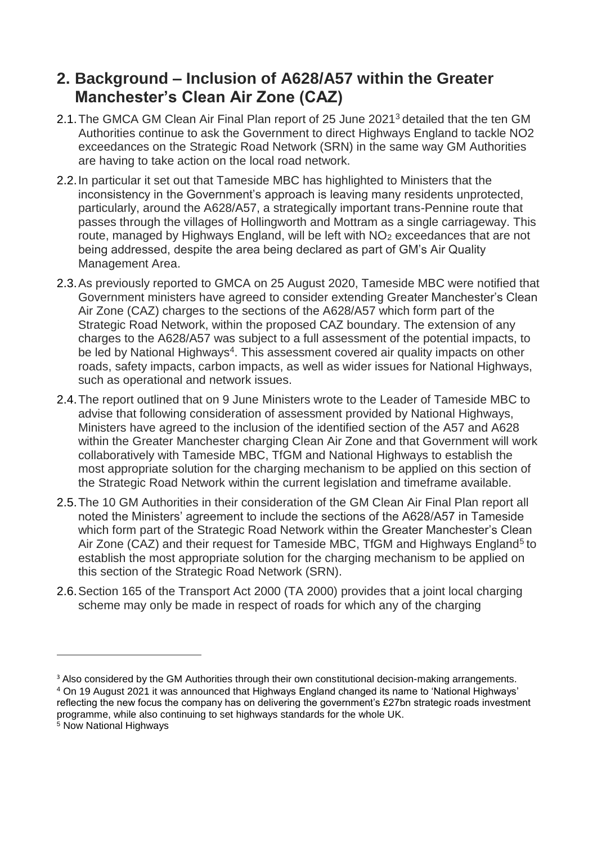## **2. Background – Inclusion of A628/A57 within the Greater Manchester's Clean Air Zone (CAZ)**

- 2.1.The GMCA GM Clean Air Final Plan report of 25 June 2021<sup>3</sup> detailed that the ten GM Authorities continue to ask the Government to direct Highways England to tackle NO2 exceedances on the Strategic Road Network (SRN) in the same way GM Authorities are having to take action on the local road network.
- 2.2.In particular it set out that Tameside MBC has highlighted to Ministers that the inconsistency in the Government's approach is leaving many residents unprotected, particularly, around the A628/A57, a strategically important trans-Pennine route that passes through the villages of Hollingworth and Mottram as a single carriageway. This route, managed by Highways England, will be left with NO<sub>2</sub> exceedances that are not being addressed, despite the area being declared as part of GM's Air Quality Management Area.
- 2.3.As previously reported to GMCA on 25 August 2020, Tameside MBC were notified that Government ministers have agreed to consider extending Greater Manchester's Clean Air Zone (CAZ) charges to the sections of the A628/A57 which form part of the Strategic Road Network, within the proposed CAZ boundary. The extension of any charges to the A628/A57 was subject to a full assessment of the potential impacts, to be led by National Highways<sup>4</sup>. This assessment covered air quality impacts on other roads, safety impacts, carbon impacts, as well as wider issues for National Highways, such as operational and network issues.
- 2.4.The report outlined that on 9 June Ministers wrote to the Leader of Tameside MBC to advise that following consideration of assessment provided by National Highways, Ministers have agreed to the inclusion of the identified section of the A57 and A628 within the Greater Manchester charging Clean Air Zone and that Government will work collaboratively with Tameside MBC, TfGM and National Highways to establish the most appropriate solution for the charging mechanism to be applied on this section of the Strategic Road Network within the current legislation and timeframe available.
- 2.5.The 10 GM Authorities in their consideration of the GM Clean Air Final Plan report all noted the Ministers' agreement to include the sections of the A628/A57 in Tameside which form part of the Strategic Road Network within the Greater Manchester's Clean Air Zone (CAZ) and their request for Tameside MBC, TfGM and Highways England<sup>5</sup> to establish the most appropriate solution for the charging mechanism to be applied on this section of the Strategic Road Network (SRN).
- 2.6.Section 165 of the Transport Act 2000 (TA 2000) provides that a joint local charging scheme may only be made in respect of roads for which any of the charging

 $\overline{a}$ 

<sup>&</sup>lt;sup>3</sup> Also considered by the GM Authorities through their own constitutional decision-making arrangements.

<sup>4</sup> On 19 August 2021 it was announced that Highways England changed its name to 'National Highways' reflecting the new focus the company has on delivering the government's £27bn strategic roads investment programme, while also continuing to set highways standards for the whole UK.

<sup>5</sup> Now National Highways